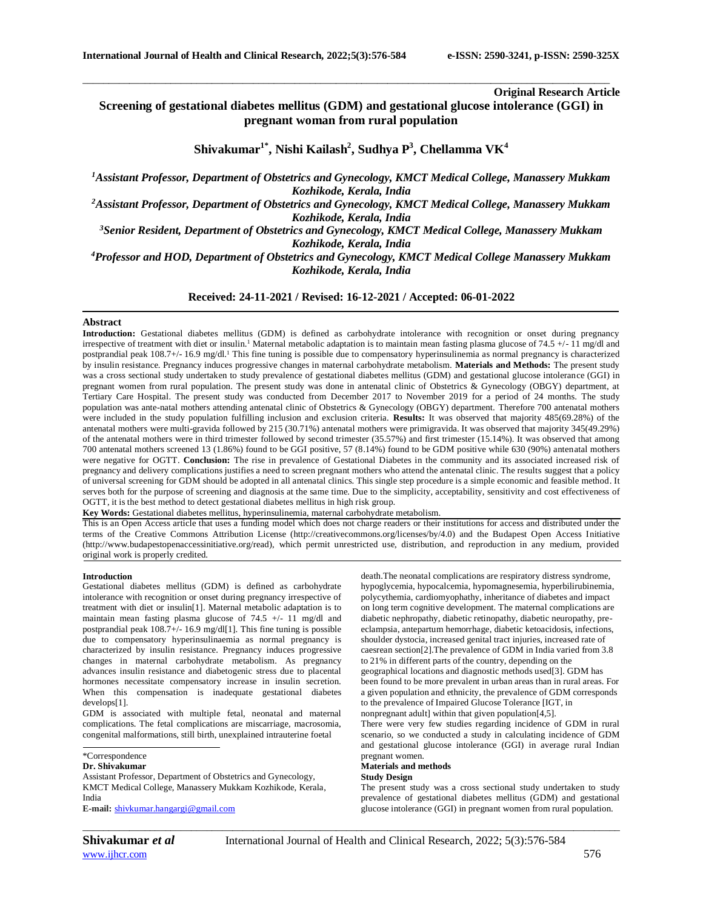# **Original Research Article**

**Screening of gestational diabetes mellitus (GDM) and gestational glucose intolerance (GGI) in pregnant woman from rural population**

\_\_\_\_\_\_\_\_\_\_\_\_\_\_\_\_\_\_\_\_\_\_\_\_\_\_\_\_\_\_\_\_\_\_\_\_\_\_\_\_\_\_\_\_\_\_\_\_\_\_\_\_\_\_\_\_\_\_\_\_\_\_\_\_\_\_\_\_\_\_\_\_\_\_\_\_\_\_\_\_\_\_\_\_\_\_\_\_\_\_\_\_\_\_\_\_\_\_\_\_\_\_

**Shivakumar1\* , Nishi Kailash<sup>2</sup> , Sudhya P<sup>3</sup> , Chellamma VK<sup>4</sup>**

*<sup>1</sup>Assistant Professor, Department of Obstetrics and Gynecology, KMCT Medical College, Manassery Mukkam Kozhikode, Kerala, India*

*<sup>2</sup>Assistant Professor, Department of Obstetrics and Gynecology, KMCT Medical College, Manassery Mukkam Kozhikode, Kerala, India*

*<sup>3</sup>Senior Resident, Department of Obstetrics and Gynecology, KMCT Medical College, Manassery Mukkam Kozhikode, Kerala, India*

*<sup>4</sup>Professor and HOD, Department of Obstetrics and Gynecology, KMCT Medical College Manassery Mukkam Kozhikode, Kerala, India*

**Received: 24-11-2021 / Revised: 16-12-2021 / Accepted: 06-01-2022**

# **Abstract**

**Introduction:** Gestational diabetes mellitus (GDM) is defined as carbohydrate intolerance with recognition or onset during pregnancy irrespective of treatment with diet or insulin.<sup>1</sup> Maternal metabolic adaptation is to maintain mean fasting plasma glucose of 74.5 +/- 11 mg/dl and postprandial peak 108.7+/- 16.9 mg/dl.<sup>1</sup> This fine tuning is possible due to compensatory hyperinsulinemia as normal pregnancy is characterized by insulin resistance. Pregnancy induces progressive changes in maternal carbohydrate metabolism. **Materials and Methods:** The present study was a cross sectional study undertaken to study prevalence of gestational diabetes mellitus (GDM) and gestational glucose intolerance (GGI) in pregnant women from rural population. The present study was done in antenatal clinic of Obstetrics & Gynecology (OBGY) department, at Tertiary Care Hospital. The present study was conducted from December 2017 to November 2019 for a period of 24 months. The study population was ante-natal mothers attending antenatal clinic of Obstetrics & Gynecology (OBGY) department. Therefore 700 antenatal mothers were included in the study population fulfilling inclusion and exclusion criteria. **Results:** It was observed that majority 485(69.28%) of the antenatal mothers were multi-gravida followed by 215 (30.71%) antenatal mothers were primigravida. It was observed that majority 345(49.29%) of the antenatal mothers were in third trimester followed by second trimester (35.57%) and first trimester (15.14%). It was observed that among 700 antenatal mothers screened 13 (1.86%) found to be GGI positive, 57 (8.14%) found to be GDM positive while 630 (90%) antenatal mothers were negative for OGTT. **Conclusion:** The rise in prevalence of Gestational Diabetes in the community and its associated increased risk of pregnancy and delivery complications justifies a need to screen pregnant mothers who attend the antenatal clinic. The results suggest that a policy of universal screening for GDM should be adopted in all antenatal clinics. This single step procedure is a simple economic and feasible method. It serves both for the purpose of screening and diagnosis at the same time. Due to the simplicity, acceptability, sensitivity and cost effectiveness of OGTT, it is the best method to detect gestational diabetes mellitus in high risk group.

**Key Words:** Gestational diabetes mellitus, hyperinsulinemia, maternal carbohydrate metabolism.

This is an Open Access article that uses a funding model which does not charge readers or their institutions for access and distributed under the terms of the Creative Commons Attribution License (http://creativecommons.org/licenses/by/4.0) and the Budapest Open Access Initiative (http://www.budapestopenaccessinitiative.org/read), which permit unrestricted use, distribution, and reproduction in any medium, provided original work is properly credited.

#### **Introduction**

Gestational diabetes mellitus (GDM) is defined as carbohydrate intolerance with recognition or onset during pregnancy irrespective of treatment with diet or insulin[1]. Maternal metabolic adaptation is to maintain mean fasting plasma glucose of 74.5 +/- 11 mg/dl and postprandial peak 108.7+/- 16.9 mg/dl[1]. This fine tuning is possible due to compensatory hyperinsulinaemia as normal pregnancy is characterized by insulin resistance. Pregnancy induces progressive changes in maternal carbohydrate metabolism. As pregnancy advances insulin resistance and diabetogenic stress due to placental hormones necessitate compensatory increase in insulin secretion. When this compensation is inadequate gestational diabetes develops[1].

GDM is associated with multiple fetal, neonatal and maternal complications. The fetal complications are miscarriage, macrosomia, congenital malformations, still birth, unexplained intrauterine foetal

# \*Correspondence

### **Dr. Shivakumar**

Assistant Professor, Department of Obstetrics and Gynecology, KMCT Medical College, Manassery Mukkam Kozhikode, Kerala, India **E-mail:** [shivkumar.hangargi@gmail.com](mailto:shivkumar.hangargi@gmail.com)

death.The neonatal complications are respiratory distress syndrome, hypoglycemia, hypocalcemia, hypomagnesemia, hyperbilirubinemia, polycythemia, cardiomyophathy, inheritance of diabetes and impact on long term cognitive development. The maternal complications are diabetic nephropathy, diabetic retinopathy, diabetic neuropathy, preeclampsia, antepartum hemorrhage, diabetic ketoacidosis, infections, shoulder dystocia, increased genital tract injuries, increased rate of caesrean section[2].The prevalence of GDM in India varied from 3.8 to 21% in different parts of the country, depending on the geographical locations and diagnostic methods used[3]. GDM has been found to be more prevalent in urban areas than in rural areas. For a given population and ethnicity, the prevalence of GDM corresponds to the prevalence of Impaired Glucose Tolerance [IGT, in nonpregnant adult] within that given population[4,5].

There were very few studies regarding incidence of GDM in rural scenario, so we conducted a study in calculating incidence of GDM and gestational glucose intolerance (GGI) in average rural Indian pregnant women.

#### **Materials and methods**

## **Study Design**

*\_\_\_\_\_\_\_\_\_\_\_\_\_\_\_\_\_\_\_\_\_\_\_\_\_\_\_\_\_\_\_\_\_\_\_\_\_\_\_\_\_\_\_\_\_\_\_\_\_\_\_\_\_\_\_\_\_\_\_\_\_\_\_\_\_\_\_\_\_\_\_\_\_\_\_\_\_\_\_\_\_\_\_\_\_\_\_\_\_\_\_\_\_\_\_\_\_\_\_\_\_\_\_\_*

The present study was a cross sectional study undertaken to study prevalence of gestational diabetes mellitus (GDM) and gestational glucose intolerance (GGI) in pregnant women from rural population.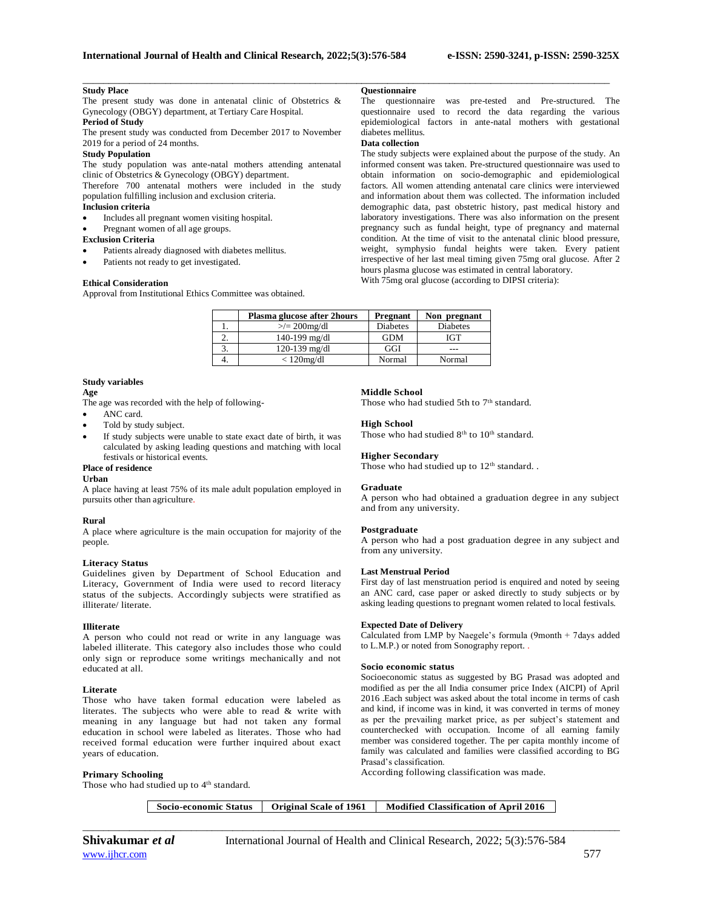## **Study Place**

The present study was done in antenatal clinic of Obstetrics & Gynecology (OBGY) department, at Tertiary Care Hospital.

# **Period of Study**

The present study was conducted from December 2017 to November 2019 for a period of 24 months.

### **Study Population**

The study population was ante-natal mothers attending antenatal clinic of Obstetrics & Gynecology (OBGY) department.

Therefore 700 antenatal mothers were included in the study population fulfilling inclusion and exclusion criteria.

# **Inclusion criteria**

- Includes all pregnant women visiting hospital.
- Pregnant women of all age groups.
- **Exclusion Criteria**
- Patients already diagnosed with diabetes mellitus.
- Patients not ready to get investigated.

## **Ethical Consideration**

Approval from Institutional Ethics Committee was obtained.

# **Questionnaire**

\_\_\_\_\_\_\_\_\_\_\_\_\_\_\_\_\_\_\_\_\_\_\_\_\_\_\_\_\_\_\_\_\_\_\_\_\_\_\_\_\_\_\_\_\_\_\_\_\_\_\_\_\_\_\_\_\_\_\_\_\_\_\_\_\_\_\_\_\_\_\_\_\_\_\_\_\_\_\_\_\_\_\_\_\_\_\_\_\_\_\_\_\_\_\_\_\_\_\_\_\_\_

The questionnaire was pre-tested and Pre-structured. The questionnaire used to record the data regarding the various epidemiological factors in ante-natal mothers with gestational diabetes mellitus.

# **Data collection**

The study subjects were explained about the purpose of the study. An informed consent was taken. Pre-structured questionnaire was used to obtain information on socio-demographic and epidemiological factors. All women attending antenatal care clinics were interviewed and information about them was collected. The information included demographic data, past obstetric history, past medical history and laboratory investigations. There was also information on the present pregnancy such as fundal height, type of pregnancy and maternal condition. At the time of visit to the antenatal clinic blood pressure, weight, symphysio fundal heights were taken. Every patient irrespective of her last meal timing given 75mg oral glucose. After 2 hours plasma glucose was estimated in central laboratory.

| With 75mg oral glucose (according to DIPSI criteria): |  |  |  |
|-------------------------------------------------------|--|--|--|
|-------------------------------------------------------|--|--|--|

|    | Plasma glucose after 2hours | <b>Pregnant</b> | Non pregnant    |
|----|-----------------------------|-----------------|-----------------|
|    | $\ge$ /= 200mg/dl           | <b>Diabetes</b> | <b>Diabetes</b> |
|    | $140-199$ mg/dl             | <b>GDM</b>      | IGT             |
| J. | 120-139 mg/dl               | GGI             |                 |
| 4. | $< 120$ mg/dl               | Normal          | Normal          |

# **Study variables**

**Age**

The age was recorded with the help of following-

- ANC card.
- Told by study subject.
- If study subjects were unable to state exact date of birth, it was calculated by asking leading questions and matching with local festivals or historical events.

#### **Place of residence**

**Urban**

A place having at least 75% of its male adult population employed in pursuits other than agriculture.

#### **Rural**

A place where agriculture is the main occupation for majority of the people.

#### **Literacy Status**

Guidelines given by Department of School Education and Literacy, Government of India were used to record literacy status of the subjects. Accordingly subjects were stratified as illiterate/ literate.

#### **Illiterate**

A person who could not read or write in any language was labeled illiterate. This category also includes those who could only sign or reproduce some writings mechanically and not educated at all.

#### **Literate**

Those who have taken formal education were labeled as literates. The subjects who were able to read & write with meaning in any language but had not taken any formal education in school were labeled as literates. Those who had received formal education were further inquired about exact years of education.

#### **Primary Schooling**

Those who had studied up to 4<sup>th</sup> standard.

## **Middle School**

Those who had studied 5th to 7<sup>th</sup> standard.

#### **High School**

Those who had studied  $8<sup>th</sup>$  to  $10<sup>th</sup>$  standard.

#### **Higher Secondary**

Those who had studied up to 12<sup>th</sup> standard..

#### **Graduate**

A person who had obtained a graduation degree in any subject and from any university.

## **Postgraduate**

A person who had a post graduation degree in any subject and from any university.

#### **Last Menstrual Period**

First day of last menstruation period is enquired and noted by seeing an ANC card, case paper or asked directly to study subjects or by asking leading questions to pregnant women related to local festivals.

### **Expected Date of Delivery**

Calculated from LMP by Naegele's formula (9month + 7days added to L.M.P.) or noted from Sonography report. .

#### **Socio economic status**

Socioeconomic status as suggested by BG Prasad was adopted and modified as per the all India consumer price Index (AICPI) of April 2016 .Each subject was asked about the total income in terms of cash and kind, if income was in kind, it was converted in terms of money as per the prevailing market price, as per subject's statement and counterchecked with occupation. Income of all earning family member was considered together. The per capita monthly income of family was calculated and families were classified according to BG Prasad's classification.

According following classification was made.

| <b>Socio-economic Status</b> | <b>Original Scale of 1961</b> | Modified Classification of April 2016 |
|------------------------------|-------------------------------|---------------------------------------|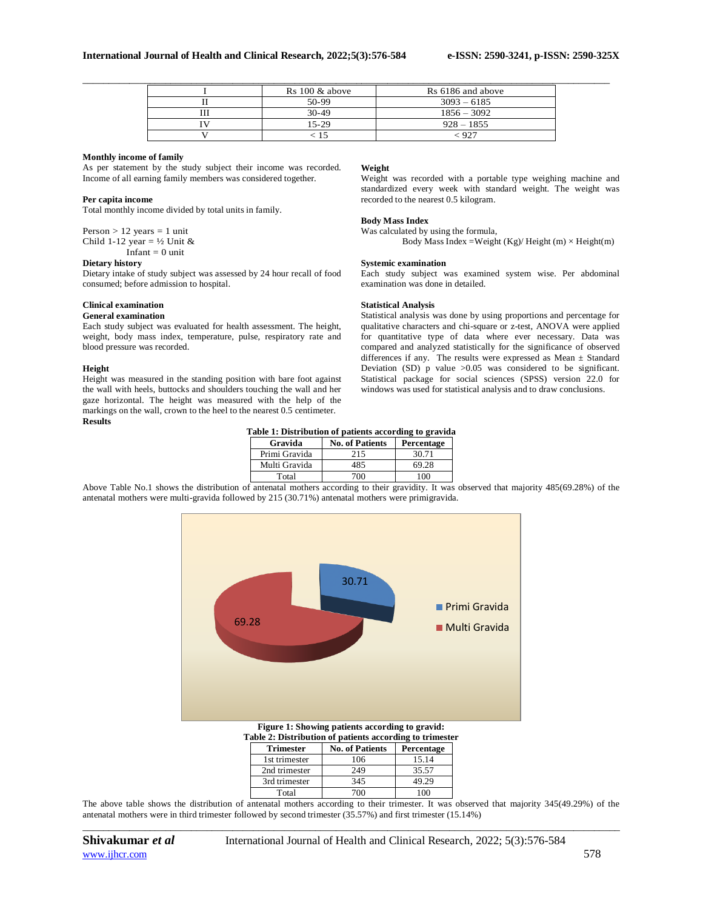|  | $Rs 100 \& above$ | Rs 6186 and above |
|--|-------------------|-------------------|
|  | 50-99             | $3093 - 6185$     |
|  | $30-49$           | $1856 - 3092$     |
|  | $15-29$           | $928 - 1855$      |
|  |                   | - 927             |

## **Monthly income of family**

As per statement by the study subject their income was recorded. Income of all earning family members was considered together.

## **Per capita income**

Total monthly income divided by total units in family.

Person  $> 12$  years  $= 1$  unit Child 1-12 year =  $\frac{1}{2}$  Unit &  $I$ nfant = 0 unit

## **Dietary history**

Dietary intake of study subject was assessed by 24 hour recall of food consumed; before admission to hospital.

# **Clinical examination**

#### **General examination**

Each study subject was evaluated for health assessment. The height, weight, body mass index, temperature, pulse, respiratory rate and blood pressure was recorded.

## **Height**

Height was measured in the standing position with bare foot against the wall with heels, buttocks and shoulders touching the wall and her gaze horizontal. The height was measured with the help of the markings on the wall, crown to the heel to the nearest 0.5 centimeter. **Results**

### **Weight**

Weight was recorded with a portable type weighing machine and standardized every week with standard weight. The weight was recorded to the nearest 0.5 kilogram.

# **Body Mass Index**

Was calculated by using the formula, Body Mass Index = Weight  $(Kg)/$  Height (m)  $\times$  Height(m)

# **Systemic examination**

Each study subject was examined system wise. Per abdominal examination was done in detailed.

## **Statistical Analysis**

Statistical analysis was done by using proportions and percentage for qualitative characters and chi-square or z-test, ANOVA were applied for quantitative type of data where ever necessary. Data was compared and analyzed statistically for the significance of observed differences if any. The results were expressed as Mean ± Standard Deviation (SD)  $p$  value  $>0.05$  was considered to be significant. Statistical package for social sciences (SPSS) version 22.0 for windows was used for statistical analysis and to draw conclusions.

**Table 1: Distribution of patients according to gravida**

| Table 1. Distribution of patients according to gravitat |                        |            |  |  |
|---------------------------------------------------------|------------------------|------------|--|--|
| Gravida                                                 | <b>No. of Patients</b> | Percentage |  |  |
| Primi Gravida                                           | 215                    | 30.71      |  |  |
| Multi Gravida                                           | 485                    | 69.28      |  |  |
| Total                                                   | 700                    | 100        |  |  |

Above Table No.1 shows the distribution of antenatal mothers according to their gravidity. It was observed that majority 485(69.28%) of the antenatal mothers were multi-gravida followed by 215 (30.71%) antenatal mothers were primigravida.



| <b>Trimester</b> | <b>No. of Patients</b> | Percentage |
|------------------|------------------------|------------|
| 1st trimester    | 06                     | 15.14      |
| 2nd trimester    | 249                    | 35.57      |
| 3rd trimester    | 345                    | 49.29      |
| Total            |                        |            |

*\_\_\_\_\_\_\_\_\_\_\_\_\_\_\_\_\_\_\_\_\_\_\_\_\_\_\_\_\_\_\_\_\_\_\_\_\_\_\_\_\_\_\_\_\_\_\_\_\_\_\_\_\_\_\_\_\_\_\_\_\_\_\_\_\_\_\_\_\_\_\_\_\_\_\_\_\_\_\_\_\_\_\_\_\_\_\_\_\_\_\_\_\_\_\_\_\_\_\_\_\_\_\_\_* The above table shows the distribution of antenatal mothers according to their trimester. It was observed that majority 345(49.29%) of the antenatal mothers were in third trimester followed by second trimester (35.57%) and first trimester (15.14%)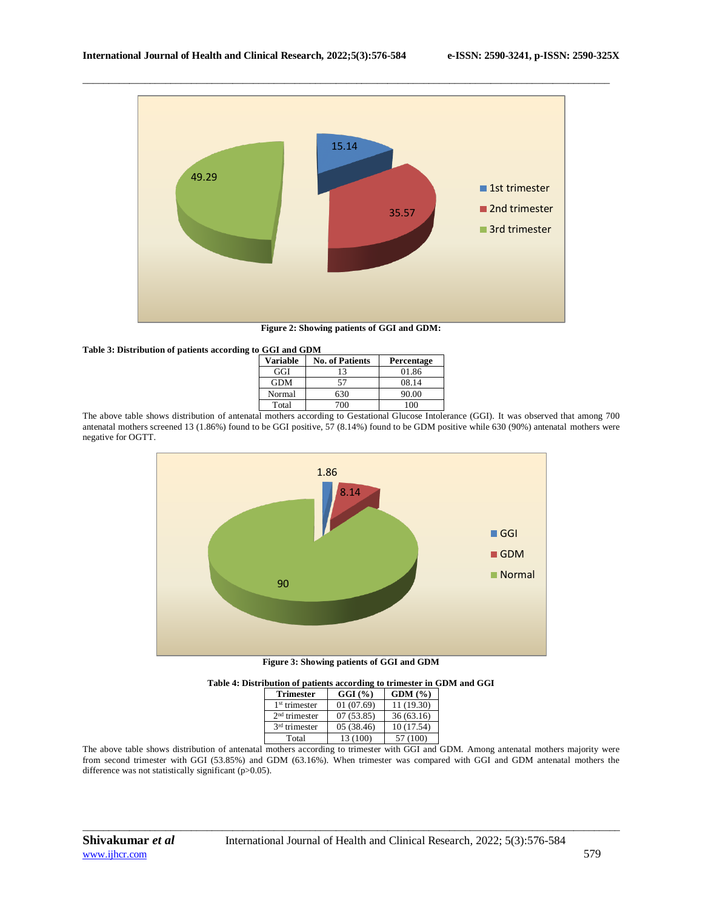

\_\_\_\_\_\_\_\_\_\_\_\_\_\_\_\_\_\_\_\_\_\_\_\_\_\_\_\_\_\_\_\_\_\_\_\_\_\_\_\_\_\_\_\_\_\_\_\_\_\_\_\_\_\_\_\_\_\_\_\_\_\_\_\_\_\_\_\_\_\_\_\_\_\_\_\_\_\_\_\_\_\_\_\_\_\_\_\_\_\_\_\_\_\_\_\_\_\_\_\_\_\_

**Figure 2: Showing patients of GGI and GDM:**

| Table 3: Distribution of patients according to GGI and GDM |                 |                        |            |
|------------------------------------------------------------|-----------------|------------------------|------------|
|                                                            | <b>Variable</b> | <b>No. of Patients</b> | Percentage |
|                                                            | GGI             |                        | 01.86      |
|                                                            | <b>GDM</b>      | 57                     | 08.14      |
|                                                            | Normal          | 630                    | 90.00      |
|                                                            | Total           | 700                    | 100        |

The above table shows distribution of antenatal mothers according to Gestational Glucose Intolerance (GGI). It was observed that among 700 antenatal mothers screened 13 (1.86%) found to be GGI positive, 57 (8.14%) found to be GDM positive while 630 (90%) antenatal mothers were negative for OGTT.



**Figure 3: Showing patients of GGI and GDM**

| Table 4: Distribution of patients according to trimester in GDM and GGI |  |  |
|-------------------------------------------------------------------------|--|--|
|                                                                         |  |  |

| <b>Trimester</b>          | $GGI$ (%)  | GDM(%)     |
|---------------------------|------------|------------|
| 1 <sup>st</sup> trimester | 01(07.69)  | 11 (19.30) |
| $2nd$ trimester           | 07(53.85)  | 36(63.16)  |
| $3rd$ trimester           | 05 (38.46) | 10(17.54)  |
| Total                     | 13 (100)   | 57 (100)   |

The above table shows distribution of antenatal mothers according to trimester with GGI and GDM. Among antenatal mothers majority were from second trimester with GGI (53.85%) and GDM (63.16%). When trimester was compared with GGI and GDM antenatal mothers the difference was not statistically significant (p>0.05).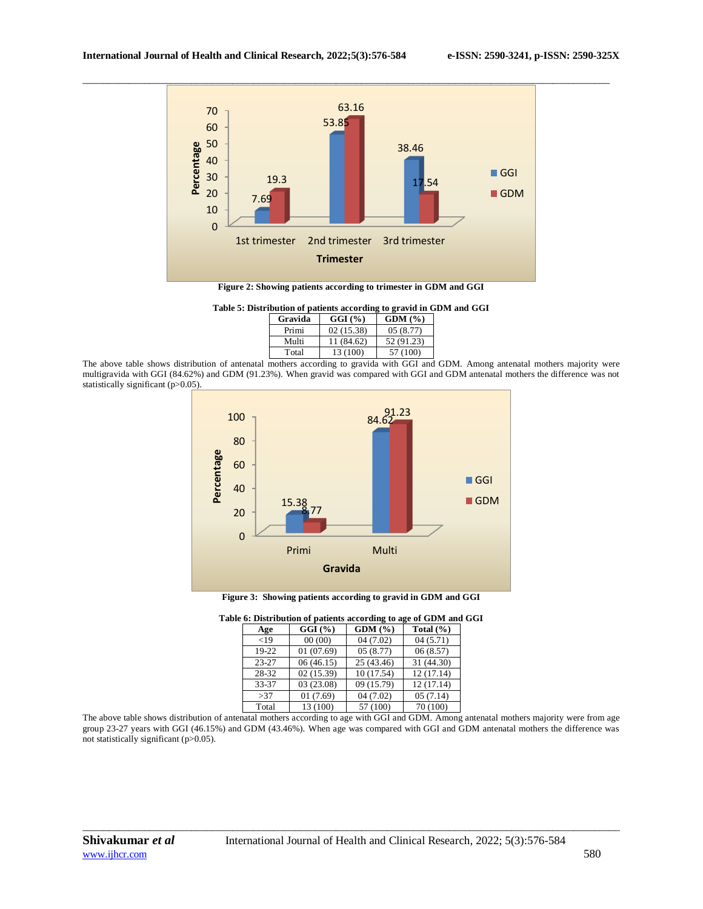

\_\_\_\_\_\_\_\_\_\_\_\_\_\_\_\_\_\_\_\_\_\_\_\_\_\_\_\_\_\_\_\_\_\_\_\_\_\_\_\_\_\_\_\_\_\_\_\_\_\_\_\_\_\_\_\_\_\_\_\_\_\_\_\_\_\_\_\_\_\_\_\_\_\_\_\_\_\_\_\_\_\_\_\_\_\_\_\_\_\_\_\_\_\_\_\_\_\_\_\_\_\_

**Figure 2: Showing patients according to trimester in GDM and GGI**

**Table 5: Distribution of patients according to gravid in GDM and GGI**

| Gravida | GGI(%)     | GDM(%)     |
|---------|------------|------------|
| Primi   | 02(15.38)  | 05(8.77)   |
| Multi   | 11 (84.62) | 52 (91.23) |
| Total   | 13 (100)   | 57 (100)   |

The above table shows distribution of antenatal mothers according to gravida with GGI and GDM. Among antenatal mothers majority were multigravida with GGI (84.62%) and GDM (91.23%). When gravid was compared with GGI and GDM antenatal mothers the difference was not statistically significant (p>0.05).



**Figure 3: Showing patients according to gravid in GDM and GGI**

|           | e o: Distribution or patients according to age or GDTM and |            |               |
|-----------|------------------------------------------------------------|------------|---------------|
| Age       | $GGI$ (%)                                                  | GDM(%)     | Total $(\% )$ |
| < 19      | 00(00)                                                     | 04(7.02)   | 04(5.71)      |
| 19-22     | 01(07.69)                                                  | 05(8.77)   | 06(8.57)      |
| $23 - 27$ | 06(46.15)                                                  | 25 (43.46) | 31 (44.30)    |
| 28-32     | 02(15.39)                                                  | 10(17.54)  | 12(17.14)     |
| 33-37     | 03(23.08)                                                  | 09 (15.79) | 12 (17.14)    |
| >37       | 01(7.69)                                                   | 04(7.02)   | 05(7.14)      |
| Total     | 13 (100)                                                   | 57 (100)   | 70 (100)      |

| Table 6: Distribution of patients according to age of GDM and GGI |  |  |
|-------------------------------------------------------------------|--|--|
|                                                                   |  |  |

The above table shows distribution of antenatal mothers according to age with GGI and GDM. Among antenatal mothers majority were from age group 23-27 years with GGI (46.15%) and GDM (43.46%). When age was compared with GGI and GDM antenatal mothers the difference was not statistically significant (p>0.05).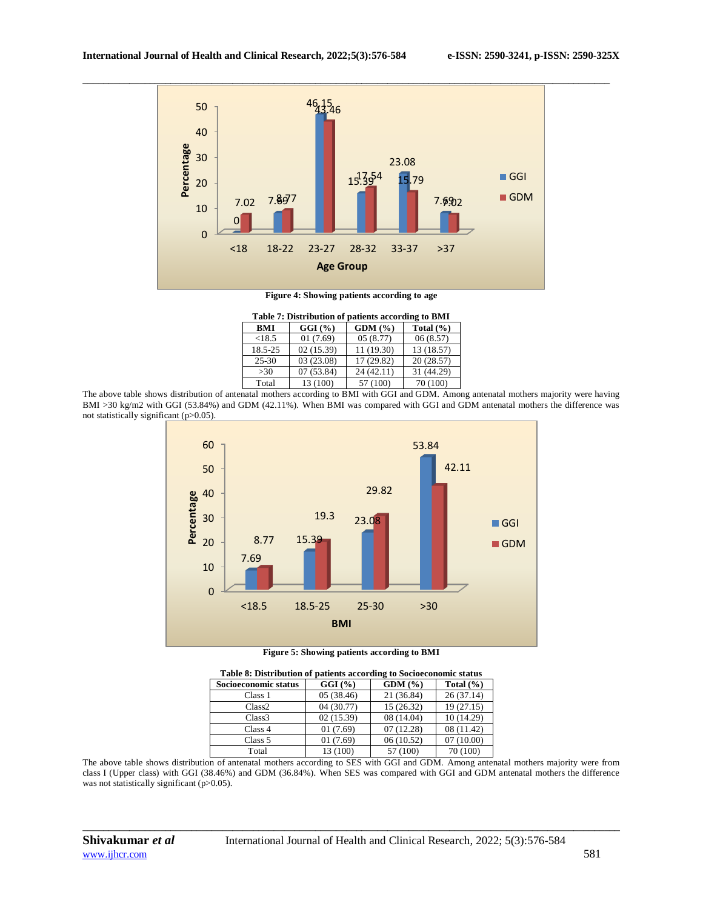

**Figure 4: Showing patients according to age**

|            | Table 7: Distribution of patients according to BMI |            |               |
|------------|----------------------------------------------------|------------|---------------|
| <b>BMI</b> | $GGI$ $(\frac{6}{6})$                              | GDM(%)     | Total $(\% )$ |
| < 18.5     | 01(7.69)                                           | 05(8.77)   | 06(8.57)      |
| 18.5-25    | 02(15.39)                                          | 11 (19.30) | 13 (18.57)    |
| $25 - 30$  | 03(23.08)                                          | 17 (29.82) | 20(28.57)     |
| >30        | 07(53.84)                                          | 24 (42.11) | 31 (44.29)    |
| Total      | 13 (100)                                           | 57 (100)   | 70 (100)      |

The above table shows distribution of antenatal mothers according to BMI with GGI and GDM. Among antenatal mothers majority were having BMI >30 kg/m2 with GGI (53.84%) and GDM (42.11%). When BMI was compared with GGI and GDM antenatal mothers the difference was not statistically significant (p>0.05).



**Figure 5: Showing patients according to BMI**

| Table 8: Distribution of patients according to Socioeconomic status |            |            |               |
|---------------------------------------------------------------------|------------|------------|---------------|
| Socioeconomic status                                                | $GGI$ (%)  | GDM(%)     | Total $(\% )$ |
| Class 1                                                             | 05(38.46)  | 21 (36.84) | 26(37.14)     |
| Class <sub>2</sub>                                                  | 04 (30.77) | 15 (26.32) | 19(27.15)     |
| Class <sub>3</sub>                                                  | 02(15.39)  | 08 (14.04) | 10 (14.29)    |
| Class 4                                                             | 01(7.69)   | 07(12.28)  | 08 (11.42)    |
| Class 5                                                             | 01(7.69)   | 06(10.52)  | 07(10.00)     |
| Total                                                               | 13 (100)   | 57 (100)   | 70 (100)      |

The above table shows distribution of antenatal mothers according to SES with GGI and GDM. Among antenatal mothers majority were from class I (Upper class) with GGI (38.46%) and GDM (36.84%). When SES was compared with GGI and GDM antenatal mothers the difference was not statistically significant (p>0.05).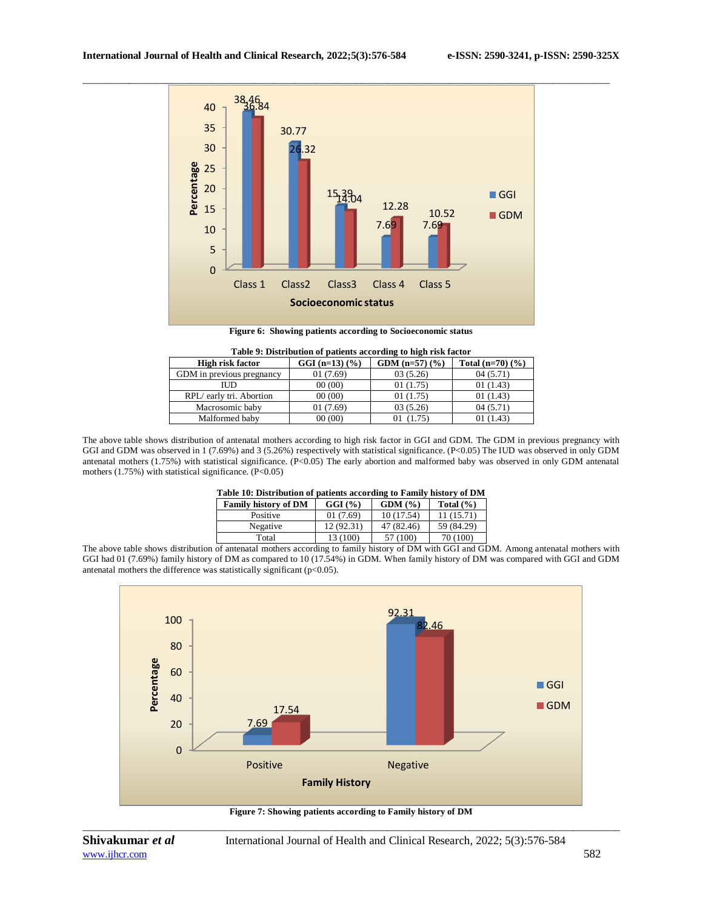

**Figure 6: Showing patients according to Socioeconomic status**

|                           |                  | Table 2. Distribution of patients according to high risk factor |                    |
|---------------------------|------------------|-----------------------------------------------------------------|--------------------|
| <b>High risk factor</b>   | $GGI (n=13) (%)$ | GDM $(n=57)(%$                                                  | Total $(n=70)(\%)$ |
| GDM in previous pregnancy | 01(7.69)         | 03(5.26)                                                        | 04(5.71)           |
| ПJD                       | 00(00)           | 01(1.75)                                                        | 01(1.43)           |
| RPL/early tri. Abortion   | 00(00)           | 01(1.75)                                                        | 01(1.43)           |
| Macrosomic baby           | 01 (7.69)        | 03(5.26)                                                        | 04(5.71)           |
| Malformed baby            | 00(00)           | (1.75)                                                          | 01 (1.43)          |

**Table 9: Distribution of patients according to high risk factor**

The above table shows distribution of antenatal mothers according to high risk factor in GGI and GDM. The GDM in previous pregnancy with GGI and GDM was observed in 1 (7.69%) and 3 (5.26%) respectively with statistical significance. (P<0.05) The IUD was observed in only GDM antenatal mothers (1.75%) with statistical significance. (P<0.05) The early abortion and malformed baby was observed in only GDM antenatal mothers (1.75%) with statistical significance. (P<0.05)

|  | Table 10: Distribution of patients according to Family history of DM |  |  |  |  |  |
|--|----------------------------------------------------------------------|--|--|--|--|--|
|  |                                                                      |  |  |  |  |  |

| Family history of DM | $GGI$ $(\% )$ | GDM(%)     | Total $(\% )$ |
|----------------------|---------------|------------|---------------|
| Positive             | 01(7.69)      | 10(17.54)  | 11 (15.71)    |
| Negative             | 12 (92.31)    | 47 (82.46) | 59 (84.29)    |
| Total                | 13 (100)      | 57 (100)   | 70 (100)      |

The above table shows distribution of antenatal mothers according to family history of DM with GGI and GDM. Among antenatal mothers with GGI had 01 (7.69%) family history of DM as compared to 10 (17.54%) in GDM. When family history of DM was compared with GGI and GDM antenatal mothers the difference was statistically significant ( $p<0.05$ ).



*\_\_\_\_\_\_\_\_\_\_\_\_\_\_\_\_\_\_\_\_\_\_\_\_\_\_\_\_\_\_\_\_\_\_\_\_\_\_\_\_\_\_\_\_\_\_\_\_\_\_\_\_\_\_\_\_\_\_\_\_\_\_\_\_\_\_\_\_\_\_\_\_\_\_\_\_\_\_\_\_\_\_\_\_\_\_\_\_\_\_\_\_\_\_\_\_\_\_\_\_\_\_\_\_* **Figure 7: Showing patients according to Family history of DM**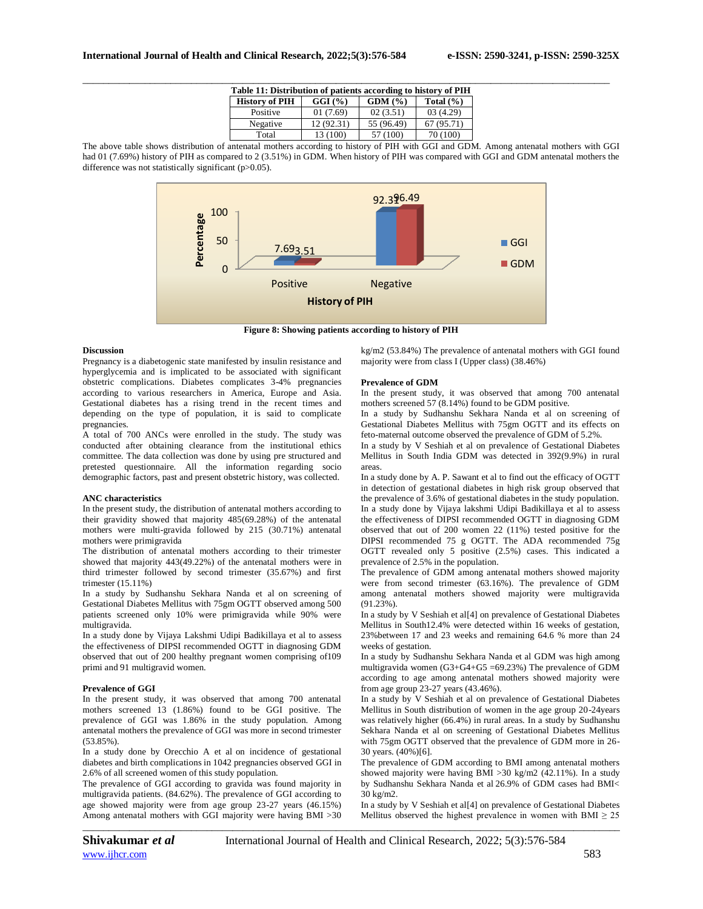|                       | Table 11: Distribution of patients according to history of PIH |             |               |  |
|-----------------------|----------------------------------------------------------------|-------------|---------------|--|
| <b>History of PIH</b> | GGI(%)                                                         | GDM(%)      | Total $(\% )$ |  |
| Positive              | 01(7.69)                                                       | 02(3.51)    | 03(4.29)      |  |
| Negative              | 12 (92.31)                                                     | 55 (96.49)  | 67 (95.71)    |  |
| Total                 | 13 (100)                                                       | (100)<br>57 | 70 (100)      |  |

The above table shows distribution of antenatal mothers according to history of PIH with GGI and GDM. Among antenatal mothers with GGI had 01 (7.69%) history of PIH as compared to 2 (3.51%) in GDM. When history of PIH was compared with GGI and GDM antenatal mothers the difference was not statistically significant (p>0.05).



**Figure 8: Showing patients according to history of PIH**

## **Discussion**

Pregnancy is a diabetogenic state manifested by insulin resistance and hyperglycemia and is implicated to be associated with significant obstetric complications. Diabetes complicates 3-4% pregnancies according to various researchers in America, Europe and Asia. Gestational diabetes has a rising trend in the recent times and depending on the type of population, it is said to complicate pregnancies.

A total of 700 ANCs were enrolled in the study. The study was conducted after obtaining clearance from the institutional ethics committee. The data collection was done by using pre structured and pretested questionnaire. All the information regarding socio demographic factors, past and present obstetric history, was collected.

## **ANC characteristics**

In the present study, the distribution of antenatal mothers according to their gravidity showed that majority 485(69.28%) of the antenatal mothers were multi-gravida followed by 215 (30.71%) antenatal mothers were primigravida

The distribution of antenatal mothers according to their trimester showed that majority 443(49.22%) of the antenatal mothers were in third trimester followed by second trimester (35.67%) and first trimester (15.11%)

In a study by Sudhanshu Sekhara Nanda et al on screening of Gestational Diabetes Mellitus with 75gm OGTT observed among 500 patients screened only 10% were primigravida while 90% were multigravida.

In a study done by Vijaya Lakshmi Udipi Badikillaya et al to assess the effectiveness of DIPSI recommended OGTT in diagnosing GDM observed that out of 200 healthy pregnant women comprising of109 primi and 91 multigravid women.

## **Prevalence of GGI**

In the present study, it was observed that among 700 antenatal mothers screened 13 (1.86%) found to be GGI positive. The prevalence of GGI was 1.86% in the study population. Among antenatal mothers the prevalence of GGI was more in second trimester (53.85%).

In a study done by [Orecchio A](https://www.ncbi.nlm.nih.gov/pubmed/?term=Orecchio%20A%5BAuthor%5D&cauthor=true&cauthor_uid=24871384) et al on incidence of gestational diabetes and birth complications in 1042 pregnancies observed GGI in 2.6% of all screened women of this study population.

The prevalence of GGI according to gravida was found majority in multigravida patients. (84.62%). The prevalence of GGI according to age showed majority were from age group 23-27 years (46.15%) Among antenatal mothers with GGI majority were having BMI >30

kg/m2 (53.84%) The prevalence of antenatal mothers with GGI found majority were from class I (Upper class) (38.46%)

## **Prevalence of GDM**

In the present study, it was observed that among 700 antenatal mothers screened 57 (8.14%) found to be GDM positive.

In a study by Sudhanshu Sekhara Nanda et al on screening of Gestational Diabetes Mellitus with 75gm OGTT and its effects on feto-maternal outcome observed the prevalence of GDM of 5.2%.

In a study by V Seshiah et al on prevalence of Gestational Diabetes Mellitus in South India GDM was detected in 392(9.9%) in rural areas.

In a study done by A. P. Sawant et al to find out the efficacy of OGTT in detection of gestational diabetes in high risk group observed that the prevalence of 3.6% of gestational diabetes in the study population. In a study done by Vijaya lakshmi Udipi Badikillaya et al to assess the effectiveness of DIPSI recommended OGTT in diagnosing GDM observed that out of 200 women 22 (11%) tested positive for the DIPSI recommended 75 g OGTT. The ADA recommended 75g OGTT revealed only 5 positive (2.5%) cases. This indicated a prevalence of 2.5% in the population.

The prevalence of GDM among antenatal mothers showed majority were from second trimester (63.16%). The prevalence of GDM among antenatal mothers showed majority were multigravida  $(91.23\%)$ .

In a study by V Seshiah et al[4] on prevalence of Gestational Diabetes Mellitus in South12.4% were detected within 16 weeks of gestation, 23%between 17 and 23 weeks and remaining 64.6 % more than 24 weeks of gestation.

In a study by Sudhanshu Sekhara Nanda et al GDM was high among multigravida women (G3+G4+G5 =69.23%) The prevalence of GDM according to age among antenatal mothers showed majority were from age group 23-27 years (43.46%).

In a study by V Seshiah et al on prevalence of Gestational Diabetes Mellitus in South distribution of women in the age group 20-24years was relatively higher (66.4%) in rural areas. In a study by Sudhanshu Sekhara Nanda et al on screening of Gestational Diabetes Mellitus with 75gm OGTT observed that the prevalence of GDM more in 26- 30 years. (40%)[6].

The prevalence of GDM according to BMI among antenatal mothers showed majority were having BMI >30 kg/m2 (42.11%). In a study by Sudhanshu Sekhara Nanda et al 26.9% of GDM cases had BMI< 30 kg/m2.

In a study by V Seshiah et al[4] on prevalence of Gestational Diabetes Mellitus observed the highest prevalence in women with BMI  $\geq 25$